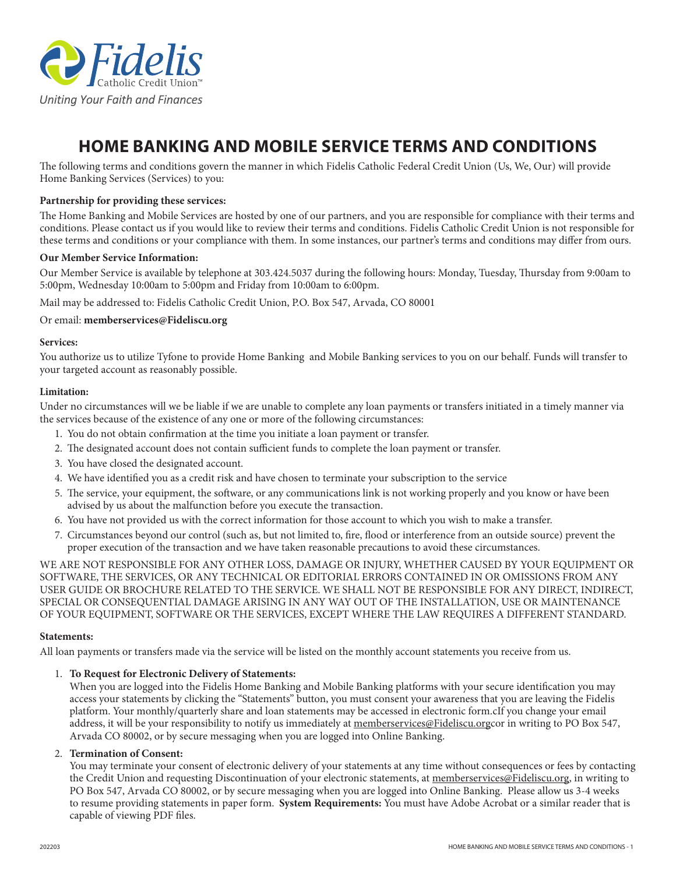

# **HOME BANKING AND MOBILE SERVICE TERMS AND CONDITIONS**

The following terms and conditions govern the manner in which Fidelis Catholic Federal Credit Union (Us, We, Our) will provide Home Banking Services (Services) to you:

## **Partnership for providing these services:**

The Home Banking and Mobile Services are hosted by one of our partners, and you are responsible for compliance with their terms and conditions. Please contact us if you would like to review their terms and conditions. Fidelis Catholic Credit Union is not responsible for these terms and conditions or your compliance with them. In some instances, our partner's terms and conditions may differ from ours.

#### **Our Member Service Information:**

Our Member Service is available by telephone at 303.424.5037 during the following hours: Monday, Tuesday, Thursday from 9:00am to 5:00pm, Wednesday 10:00am to 5:00pm and Friday from 10:00am to 6:00pm.

Mail may be addressed to: Fidelis Catholic Credit Union, P.O. Box 547, Arvada, CO 80001

#### Or email: **memberservices@Fideliscu.org**

#### **Services:**

You authorize us to utilize Tyfone to provide Home Banking and Mobile Banking services to you on our behalf. Funds will transfer to your targeted account as reasonably possible.

#### **Limitation:**

Under no circumstances will we be liable if we are unable to complete any loan payments or transfers initiated in a timely manner via the services because of the existence of any one or more of the following circumstances:

- 1. You do not obtain confirmation at the time you initiate a loan payment or transfer.
- 2. The designated account does not contain sufficient funds to complete the loan payment or transfer.
- 3. You have closed the designated account.
- 4. We have identified you as a credit risk and have chosen to terminate your subscription to the service
- 5. The service, your equipment, the software, or any communications link is not working properly and you know or have been advised by us about the malfunction before you execute the transaction.
- 6. You have not provided us with the correct information for those account to which you wish to make a transfer.
- 7. Circumstances beyond our control (such as, but not limited to, fire, flood or interference from an outside source) prevent the proper execution of the transaction and we have taken reasonable precautions to avoid these circumstances.

WE ARE NOT RESPONSIBLE FOR ANY OTHER LOSS, DAMAGE OR INJURY, WHETHER CAUSED BY YOUR EQUIPMENT OR SOFTWARE, THE SERVICES, OR ANY TECHNICAL OR EDITORIAL ERRORS CONTAINED IN OR OMISSIONS FROM ANY USER GUIDE OR BROCHURE RELATED TO THE SERVICE. WE SHALL NOT BE RESPONSIBLE FOR ANY DIRECT, INDIRECT, SPECIAL OR CONSEQUENTIAL DAMAGE ARISING IN ANY WAY OUT OF THE INSTALLATION, USE OR MAINTENANCE OF YOUR EQUIPMENT, SOFTWARE OR THE SERVICES, EXCEPT WHERE THE LAW REQUIRES A DIFFERENT STANDARD.

#### **Statements:**

All loan payments or transfers made via the service will be listed on the monthly account statements you receive from us.

## 1. **To Request for Electronic Delivery of Statements:**

When you are logged into the Fidelis Home Banking and Mobile Banking platforms with your secure identification you may access your statements by clicking the "Statements" button, you must consent your awareness that you are leaving the Fidelis platform. Your monthly/quarterly share and loan statements may be accessed in electronic form.cIf you change your email address, it will be your responsibility to notify us immediately at memberservices@Fideliscu.orgcor in writing to PO Box 547, Arvada CO 80002, or by secure messaging when you are logged into Online Banking.

#### 2. **Termination of Consent:**

You may terminate your consent of electronic delivery of your statements at any time without consequences or fees by contacting the Credit Union and requesting Discontinuation of your electronic statements, at memberservices@Fideliscu.org, in writing to PO Box 547, Arvada CO 80002, or by secure messaging when you are logged into Online Banking. Please allow us 3-4 weeks to resume providing statements in paper form. **System Requirements:** You must have Adobe Acrobat or a similar reader that is capable of viewing PDF files.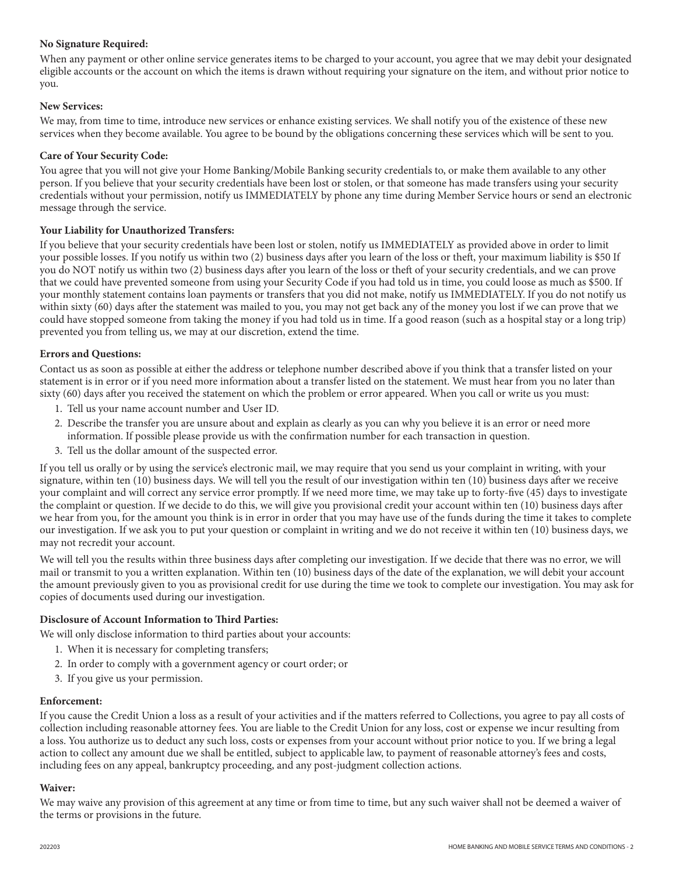## **No Signature Required:**

When any payment or other online service generates items to be charged to your account, you agree that we may debit your designated eligible accounts or the account on which the items is drawn without requiring your signature on the item, and without prior notice to you.

### **New Services:**

We may, from time to time, introduce new services or enhance existing services. We shall notify you of the existence of these new services when they become available. You agree to be bound by the obligations concerning these services which will be sent to you.

#### **Care of Your Security Code:**

You agree that you will not give your Home Banking/Mobile Banking security credentials to, or make them available to any other person. If you believe that your security credentials have been lost or stolen, or that someone has made transfers using your security credentials without your permission, notify us IMMEDIATELY by phone any time during Member Service hours or send an electronic message through the service.

#### **Your Liability for Unauthorized Transfers:**

If you believe that your security credentials have been lost or stolen, notify us IMMEDIATELY as provided above in order to limit your possible losses. If you notify us within two (2) business days after you learn of the loss or theft, your maximum liability is \$50 If you do NOT notify us within two (2) business days after you learn of the loss or theft of your security credentials, and we can prove that we could have prevented someone from using your Security Code if you had told us in time, you could loose as much as \$500. If your monthly statement contains loan payments or transfers that you did not make, notify us IMMEDIATELY. If you do not notify us within sixty (60) days after the statement was mailed to you, you may not get back any of the money you lost if we can prove that we could have stopped someone from taking the money if you had told us in time. If a good reason (such as a hospital stay or a long trip) prevented you from telling us, we may at our discretion, extend the time.

#### **Errors and Questions:**

Contact us as soon as possible at either the address or telephone number described above if you think that a transfer listed on your statement is in error or if you need more information about a transfer listed on the statement. We must hear from you no later than sixty (60) days after you received the statement on which the problem or error appeared. When you call or write us you must:

- 1. Tell us your name account number and User ID.
- 2. Describe the transfer you are unsure about and explain as clearly as you can why you believe it is an error or need more information. If possible please provide us with the confirmation number for each transaction in question.
- 3. Tell us the dollar amount of the suspected error.

If you tell us orally or by using the service's electronic mail, we may require that you send us your complaint in writing, with your signature, within ten (10) business days. We will tell you the result of our investigation within ten (10) business days after we receive your complaint and will correct any service error promptly. If we need more time, we may take up to forty-five (45) days to investigate the complaint or question. If we decide to do this, we will give you provisional credit your account within ten (10) business days after we hear from you, for the amount you think is in error in order that you may have use of the funds during the time it takes to complete our investigation. If we ask you to put your question or complaint in writing and we do not receive it within ten (10) business days, we may not recredit your account.

We will tell you the results within three business days after completing our investigation. If we decide that there was no error, we will mail or transmit to you a written explanation. Within ten (10) business days of the date of the explanation, we will debit your account the amount previously given to you as provisional credit for use during the time we took to complete our investigation. You may ask for copies of documents used during our investigation.

## **Disclosure of Account Information to Third Parties:**

We will only disclose information to third parties about your accounts:

- 1. When it is necessary for completing transfers;
- 2. In order to comply with a government agency or court order; or
- 3. If you give us your permission.

#### **Enforcement:**

If you cause the Credit Union a loss as a result of your activities and if the matters referred to Collections, you agree to pay all costs of collection including reasonable attorney fees. You are liable to the Credit Union for any loss, cost or expense we incur resulting from a loss. You authorize us to deduct any such loss, costs or expenses from your account without prior notice to you. If we bring a legal action to collect any amount due we shall be entitled, subject to applicable law, to payment of reasonable attorney's fees and costs, including fees on any appeal, bankruptcy proceeding, and any post-judgment collection actions.

#### **Waiver:**

We may waive any provision of this agreement at any time or from time to time, but any such waiver shall not be deemed a waiver of the terms or provisions in the future.